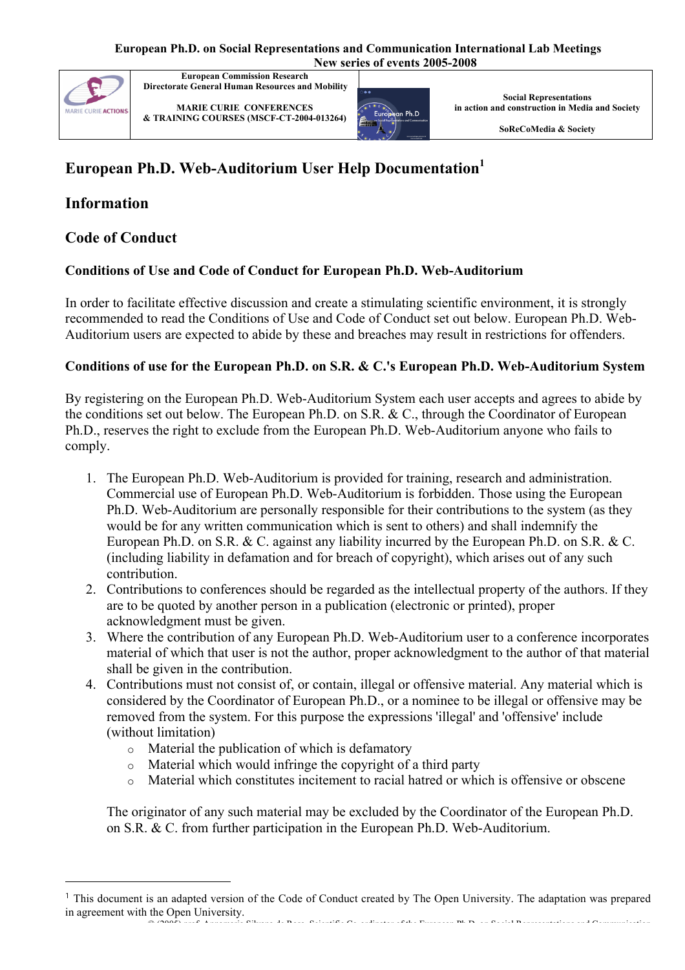

**European Commission Research Directorate General Human Resources and Mobility**

**MARIE CURIE CONFERENCES & TRAINING COURSES (MSCF-CT-2004-013264)**



**Social Representations in action and construction in Media and Society**

**SoReCoMedia & Society**

# **European Ph.D. Web-Auditorium User Help Documentation<sup>1</sup>**

# **Information**

## **Code of Conduct**

## **Conditions of Use and Code of Conduct for European Ph.D. Web-Auditorium**

In order to facilitate effective discussion and create a stimulating scientific environment, it is strongly recommended to read the Conditions of Use and Code of Conduct set out below. European Ph.D. Web-Auditorium users are expected to abide by these and breaches may result in restrictions for offenders.

### **Conditions of use for the European Ph.D. on S.R. & C.'s European Ph.D. Web-Auditorium System**

By registering on the European Ph.D. Web-Auditorium System each user accepts and agrees to abide by the conditions set out below. The European Ph.D. on S.R. & C., through the Coordinator of European Ph.D., reserves the right to exclude from the European Ph.D. Web-Auditorium anyone who fails to comply.

- 1. The European Ph.D. Web-Auditorium is provided for training, research and administration. Commercial use of European Ph.D. Web-Auditorium is forbidden. Those using the European Ph.D. Web-Auditorium are personally responsible for their contributions to the system (as they would be for any written communication which is sent to others) and shall indemnify the European Ph.D. on S.R. & C. against any liability incurred by the European Ph.D. on S.R. & C. (including liability in defamation and for breach of copyright), which arises out of any such contribution.
- 2. Contributions to conferences should be regarded as the intellectual property of the authors. If they are to be quoted by another person in a publication (electronic or printed), proper acknowledgment must be given.
- 3. Where the contribution of any European Ph.D. Web-Auditorium user to a conference incorporates material of which that user is not the author, proper acknowledgment to the author of that material shall be given in the contribution.
- 4. Contributions must not consist of, or contain, illegal or offensive material. Any material which is considered by the Coordinator of European Ph.D., or a nominee to be illegal or offensive may be removed from the system. For this purpose the expressions 'illegal' and 'offensive' include (without limitation)
	- o Material the publication of which is defamatory
	- o Material which would infringe the copyright of a third party
	- o Material which constitutes incitement to racial hatred or which is offensive or obscene

The originator of any such material may be excluded by the Coordinator of the European Ph.D. on S.R. & C. from further participation in the European Ph.D. Web-Auditorium.

<sup>© (2005)</sup> prof. Annamaria Silvana de Rosa, Scientific Co-ordinator of the European Ph.D. on Social Representations and Communication 1 This document is an adapted version of the Code of Conduct created by The Open University. The adaptation was prepared in agreement with the Open University.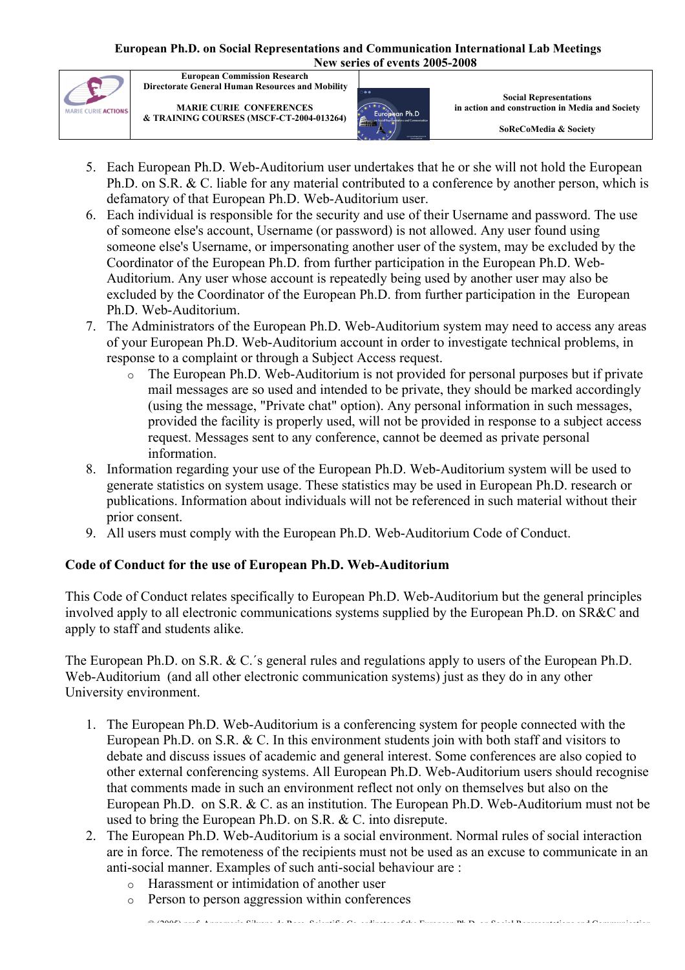

**European Commission Research Directorate General Human Resources and Mobility**

**MARIE CURIE CONFERENCES & TRAINING COURSES (MSCF-CT-2004-013264)**



**Social Representations in action and construction in Media and Society**

**SoReCoMedia & Society**

- 5. Each European Ph.D. Web-Auditorium user undertakes that he or she will not hold the European Ph.D. on S.R. & C. liable for any material contributed to a conference by another person, which is defamatory of that European Ph.D. Web-Auditorium user.
- 6. Each individual is responsible for the security and use of their Username and password. The use of someone else's account, Username (or password) is not allowed. Any user found using someone else's Username, or impersonating another user of the system, may be excluded by the Coordinator of the European Ph.D. from further participation in the European Ph.D. Web-Auditorium. Any user whose account is repeatedly being used by another user may also be excluded by the Coordinator of the European Ph.D. from further participation in the European Ph.D. Web-Auditorium.
- 7. The Administrators of the European Ph.D. Web-Auditorium system may need to access any areas of your European Ph.D. Web-Auditorium account in order to investigate technical problems, in response to a complaint or through a Subject Access request.
	- o The European Ph.D. Web-Auditorium is not provided for personal purposes but if private mail messages are so used and intended to be private, they should be marked accordingly (using the message, "Private chat" option). Any personal information in such messages, provided the facility is properly used, will not be provided in response to a subject access request. Messages sent to any conference, cannot be deemed as private personal information.
- 8. Information regarding your use of the European Ph.D. Web-Auditorium system will be used to generate statistics on system usage. These statistics may be used in European Ph.D. research or publications. Information about individuals will not be referenced in such material without their prior consent.
- 9. All users must comply with the European Ph.D. Web-Auditorium Code of Conduct.

### **Code of Conduct for the use of European Ph.D. Web-Auditorium**

This Code of Conduct relates specifically to European Ph.D. Web-Auditorium but the general principles involved apply to all electronic communications systems supplied by the European Ph.D. on SR&C and apply to staff and students alike.

The European Ph.D. on S.R. & C.´s general rules and regulations apply to users of the European Ph.D. Web-Auditorium (and all other electronic communication systems) just as they do in any other University environment.

- 1. The European Ph.D. Web-Auditorium is a conferencing system for people connected with the European Ph.D. on S.R. & C. In this environment students join with both staff and visitors to debate and discuss issues of academic and general interest. Some conferences are also copied to other external conferencing systems. All European Ph.D. Web-Auditorium users should recognise that comments made in such an environment reflect not only on themselves but also on the European Ph.D. on S.R. & C. as an institution. The European Ph.D. Web-Auditorium must not be used to bring the European Ph.D. on S.R. & C. into disrepute.
- 2. The European Ph.D. Web-Auditorium is a social environment. Normal rules of social interaction are in force. The remoteness of the recipients must not be used as an excuse to communicate in an anti-social manner. Examples of such anti-social behaviour are :
	- o Harassment or intimidation of another user
	- o Person to person aggression within conferences